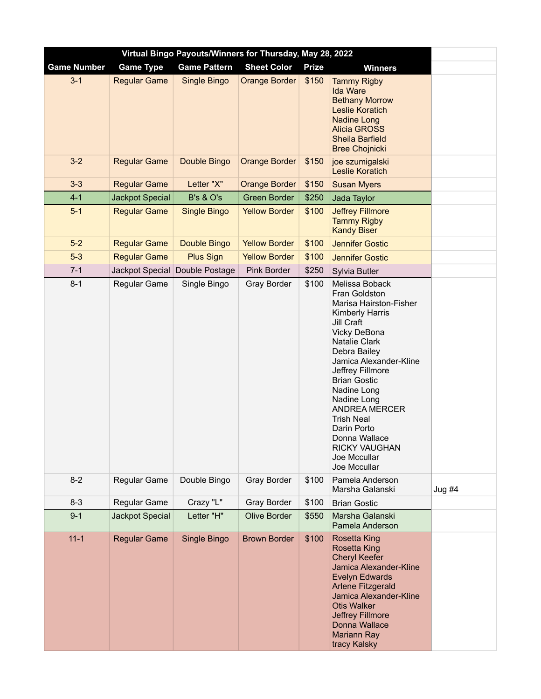| Virtual Bingo Payouts/Winners for Thursday, May 28, 2022 |                        |                      |                      |              |                                                                                                                                                                                                                                                                                                                                                                                     |          |  |  |
|----------------------------------------------------------|------------------------|----------------------|----------------------|--------------|-------------------------------------------------------------------------------------------------------------------------------------------------------------------------------------------------------------------------------------------------------------------------------------------------------------------------------------------------------------------------------------|----------|--|--|
| <b>Game Number</b>                                       | <b>Game Type</b>       | <b>Game Pattern</b>  | <b>Sheet Color</b>   | <b>Prize</b> | <b>Winners</b>                                                                                                                                                                                                                                                                                                                                                                      |          |  |  |
| $3 - 1$                                                  | <b>Regular Game</b>    | Single Bingo         | <b>Orange Border</b> | \$150        | <b>Tammy Rigby</b><br><b>Ida Ware</b><br><b>Bethany Morrow</b><br><b>Leslie Koratich</b><br><b>Nadine Long</b><br><b>Alicia GROSS</b><br><b>Sheila Barfield</b><br><b>Bree Chojnicki</b>                                                                                                                                                                                            |          |  |  |
| $3-2$                                                    | <b>Regular Game</b>    | Double Bingo         | <b>Orange Border</b> | \$150        | joe szumigalski<br><b>Leslie Koratich</b>                                                                                                                                                                                                                                                                                                                                           |          |  |  |
| $3 - 3$                                                  | <b>Regular Game</b>    | Letter "X"           | <b>Orange Border</b> | \$150        | <b>Susan Myers</b>                                                                                                                                                                                                                                                                                                                                                                  |          |  |  |
| $4 - 1$                                                  | <b>Jackpot Special</b> | <b>B's &amp; O's</b> | <b>Green Border</b>  | \$250        | Jada Taylor                                                                                                                                                                                                                                                                                                                                                                         |          |  |  |
| $5-1$                                                    | <b>Regular Game</b>    | <b>Single Bingo</b>  | <b>Yellow Border</b> | \$100        | <b>Jeffrey Fillmore</b><br><b>Tammy Rigby</b><br><b>Kandy Biser</b>                                                                                                                                                                                                                                                                                                                 |          |  |  |
| $5-2$                                                    | <b>Regular Game</b>    | Double Bingo         | <b>Yellow Border</b> | \$100        | <b>Jennifer Gostic</b>                                                                                                                                                                                                                                                                                                                                                              |          |  |  |
| $5-3$                                                    | <b>Regular Game</b>    | <b>Plus Sign</b>     | <b>Yellow Border</b> | \$100        | <b>Jennifer Gostic</b>                                                                                                                                                                                                                                                                                                                                                              |          |  |  |
| $7 - 1$                                                  | Jackpot Special        | Double Postage       | Pink Border          | \$250        | Sylvia Butler                                                                                                                                                                                                                                                                                                                                                                       |          |  |  |
| $8 - 1$                                                  | Regular Game           | Single Bingo         | <b>Gray Border</b>   | \$100        | Melissa Boback<br>Fran Goldston<br>Marisa Hairston-Fisher<br>Kimberly Harris<br>Jill Craft<br>Vicky DeBona<br>Natalie Clark<br>Debra Bailey<br>Jamica Alexander-Kline<br>Jeffrey Fillmore<br><b>Brian Gostic</b><br>Nadine Long<br>Nadine Long<br><b>ANDREA MERCER</b><br><b>Trish Neal</b><br>Darin Porto<br>Donna Wallace<br><b>RICKY VAUGHAN</b><br>Joe Mccullar<br>Joe Mccullar |          |  |  |
| $8 - 2$                                                  | Regular Game           | Double Bingo         | <b>Gray Border</b>   | \$100        | Pamela Anderson<br>Marsha Galanski                                                                                                                                                                                                                                                                                                                                                  | Jug $#4$ |  |  |
| $8 - 3$                                                  | Regular Game           | Crazy "L"            | <b>Gray Border</b>   | \$100        | <b>Brian Gostic</b>                                                                                                                                                                                                                                                                                                                                                                 |          |  |  |
| $9 - 1$                                                  | Jackpot Special        | Letter "H"           | <b>Olive Border</b>  | \$550        | Marsha Galanski<br>Pamela Anderson                                                                                                                                                                                                                                                                                                                                                  |          |  |  |
| $11 - 1$                                                 | <b>Regular Game</b>    | Single Bingo         | <b>Brown Border</b>  | \$100        | <b>Rosetta King</b><br><b>Rosetta King</b><br><b>Cheryl Keefer</b><br>Jamica Alexander-Kline<br><b>Evelyn Edwards</b><br><b>Arlene Fitzgerald</b><br>Jamica Alexander-Kline<br><b>Otis Walker</b><br>Jeffrey Fillmore<br>Donna Wallace<br><b>Mariann Ray</b><br>tracy Kalsky                                                                                                        |          |  |  |